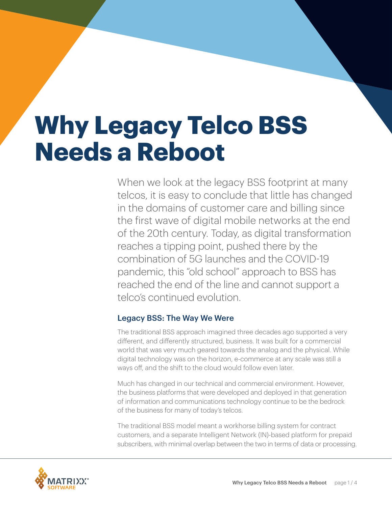# **Why Legacy Telco BSS Needs a Reboot**

When we look at the legacy BSS footprint at many telcos, it is easy to conclude that little has changed in the domains of customer care and billing since the first wave of digital mobile networks at the end of the 20th century. Today, as digital transformation reaches a tipping point, pushed there by the combination of 5G launches and the COVID-19 pandemic, this "old school" approach to BSS has reached the end of the line and cannot support a telco's continued evolution.

## Legacy BSS: The Way We Were

The traditional BSS approach imagined three decades ago supported a very different, and differently structured, business. It was built for a commercial world that was very much geared towards the analog and the physical. While digital technology was on the horizon, e-commerce at any scale was still a ways off, and the shift to the cloud would follow even later.

Much has changed in our technical and commercial environment. However, the business platforms that were developed and deployed in that generation of information and communications technology continue to be the bedrock of the business for many of today's telcos.

The traditional BSS model meant a workhorse billing system for contract customers, and a separate Intelligent Network (IN)-based platform for prepaid subscribers, with minimal overlap between the two in terms of data or processing.

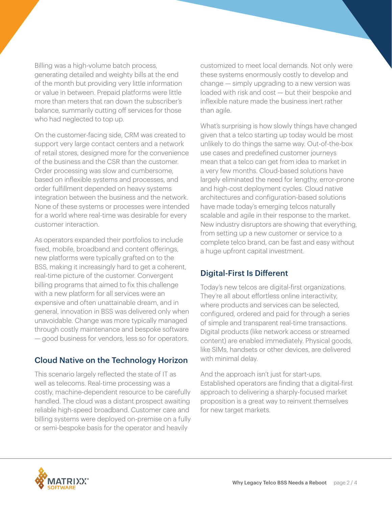Billing was a high-volume batch process, generating detailed and weighty bills at the end of the month but providing very little information or value in between. Prepaid platforms were little more than meters that ran down the subscriber's balance, summarily cutting off services for those who had neglected to top up.

On the customer-facing side, CRM was created to support very large contact centers and a network of retail stores, designed more for the convenience of the business and the CSR than the customer. Order processing was slow and cumbersome, based on inflexible systems and processes, and order fulfillment depended on heavy systems integration between the business and the network. None of these systems or processes were intended for a world where real-time was desirable for every customer interaction.

As operators expanded their portfolios to include fixed, mobile, broadband and content offerings, new platforms were typically grafted on to the BSS, making it increasingly hard to get a coherent, real-time picture of the customer. Convergent billing programs that aimed to fix this challenge with a new platform for all services were an expensive and often unattainable dream, and in general, innovation in BSS was delivered only when unavoidable. Change was more typically managed through costly maintenance and bespoke software — good business for vendors, less so for operators.

#### Cloud Native on the Technology Horizon

This scenario largely reflected the state of IT as well as telecoms. Real-time processing was a costly, machine-dependent resource to be carefully handled. The cloud was a distant prospect awaiting reliable high-speed broadband. Customer care and billing systems were deployed on-premise on a fully or semi-bespoke basis for the operator and heavily

customized to meet local demands. Not only were these systems enormously costly to develop and change — simply upgrading to a new version was loaded with risk and cost — but their bespoke and inflexible nature made the business inert rather than agile.

What's surprising is how slowly things have changed given that a telco starting up today would be most unlikely to do things the same way. Out-of-the-box use cases and predefined customer journeys mean that a telco can get from idea to market in a very few months. Cloud-based solutions have largely eliminated the need for lengthy, error-prone and high-cost deployment cycles. Cloud native architectures and configuration-based solutions have made today's emerging telcos naturally scalable and agile in their response to the market. New industry disruptors are showing that everything, from setting up a new customer or service to a complete telco brand, can be fast and easy without a huge upfront capital investment.

## Digital-First Is Different

Today's new telcos are digital-first organizations. They're all about effortless online interactivity, where products and services can be selected, configured, ordered and paid for through a series of simple and transparent real-time transactions. Digital products (like network access or streamed content) are enabled immediately. Physical goods, like SIMs, handsets or other devices, are delivered with minimal delay.

And the approach isn't just for start-ups. Established operators are finding that a digital-first approach to delivering a sharply-focused market proposition is a great way to reinvent themselves for new target markets.

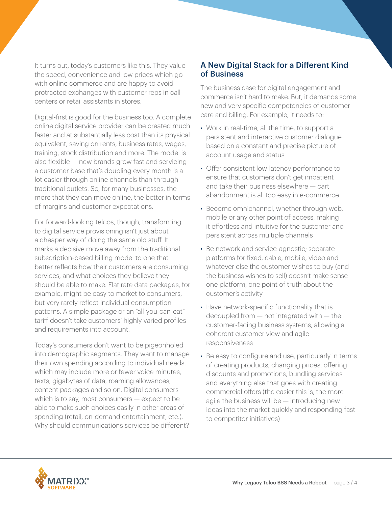It turns out, today's customers like this. They value the speed, convenience and low prices which go with online commerce and are happy to avoid protracted exchanges with customer reps in call centers or retail assistants in stores.

Digital-first is good for the business too. A complete online digital service provider can be created much faster and at substantially less cost than its physical equivalent, saving on rents, business rates, wages, training, stock distribution and more. The model is also flexible — new brands grow fast and servicing a customer base that's doubling every month is a lot easier through online channels than through traditional outlets. So, for many businesses, the more that they can move online, the better in terms of margins and customer expectations.

For forward-looking telcos, though, transforming to digital service provisioning isn't just about a cheaper way of doing the same old stuff. It marks a decisive move away from the traditional subscription-based billing model to one that better reflects how their customers are consuming services, and what choices they believe they should be able to make. Flat rate data packages, for example, might be easy to market to consumers, but very rarely reflect individual consumption patterns. A simple package or an "all-you-can-eat" tariff doesn't take customers' highly varied profiles and requirements into account.

Today's consumers don't want to be pigeonholed into demographic segments. They want to manage their own spending according to individual needs, which may include more or fewer voice minutes, texts, gigabytes of data, roaming allowances, content packages and so on. Digital consumers which is to say, most consumers — expect to be able to make such choices easily in other areas of spending (retail, on-demand entertainment, etc.). Why should communications services be different?

#### A New Digital Stack for a Different Kind of Business

The business case for digital engagement and commerce isn't hard to make. But, it demands some new and very specific competencies of customer care and billing. For example, it needs to:

- Work in real-time, all the time, to support a persistent and interactive customer dialogue based on a constant and precise picture of account usage and status
- Offer consistent low-latency performance to ensure that customers don't get impatient and take their business elsewhere — cart abandonment is all too easy in e-commerce
- Become omnichannel, whether through web, mobile or any other point of access, making it effortless and intuitive for the customer and persistent across multiple channels
- Be network and service-agnostic; separate platforms for fixed, cable, mobile, video and whatever else the customer wishes to buy (and the business wishes to sell) doesn't make sense one platform, one point of truth about the customer's activity
- Have network-specific functionality that is decoupled from — not integrated with — the customer-facing business systems, allowing a coherent customer view and agile responsiveness
- Be easy to configure and use, particularly in terms of creating products, changing prices, offering discounts and promotions, bundling services and everything else that goes with creating commercial offers (the easier this is, the more agile the business will be - introducing new ideas into the market quickly and responding fast to competitor initiatives)